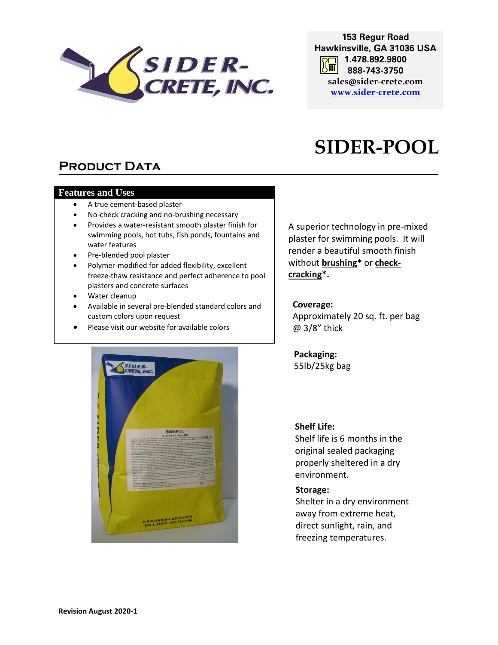

**153 Regur Road Hawkinsville, GA 31036 USA 1.478.892.9800**  $\sqrt{2}$  and  $\sqrt{2}$ **888-743-3750 sales@sider-crete.com [www.sider-crete.com](http://www.oxycool.com/)**

# **SIDER-POOL**

# **PRODUCT DATA**

#### **Features and Uses**

- A true cement-based plaster
- No-check cracking and no-brushing necessary
- Provides a water-resistant smooth plaster finish for swimming pools, hot tubs, fish ponds, fountains and water features
- Pre-blended pool plaster
- Polymer-modified for added flexibility, excellent freeze-thaw resistance and perfect adherence to pool plasters and concrete surfaces
- Water cleanup
- Available in several pre-blended standard colors and custom colors upon request
- Please visit our website for available colors

A superior technology in pre-mixed plaster for swimming pools. It will render a beautiful smooth finish without **brushing\*** or **checkcracking\*.** 

# **Coverage:**

Approximately 20 sq. ft. per bag @ 3/8" thick

**Packaging:** 55lb/25kg bag



# **Shelf Life:**

Shelf life is 6 months in the original sealed packaging properly sheltered in a dry environment.

#### **Storage:**

Shelter in a dry environment away from extreme heat, direct sunlight, rain, and freezing temperatures.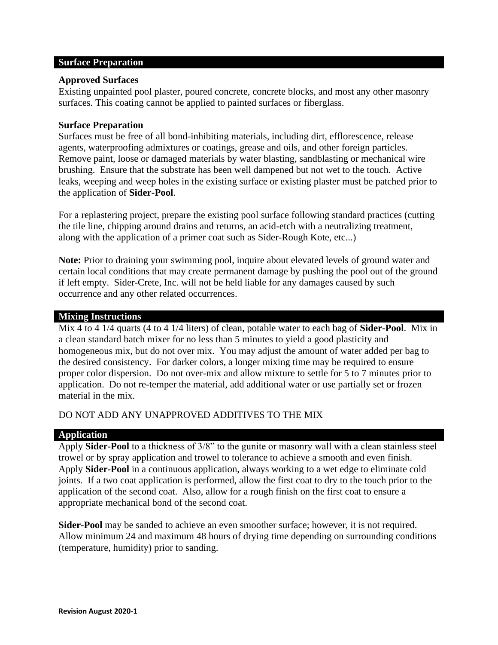## **Surface Preparation**

## **Approved Surfaces**

Existing unpainted pool plaster, poured concrete, concrete blocks, and most any other masonry surfaces. This coating cannot be applied to painted surfaces or fiberglass.

# **Surface Preparation**

Surfaces must be free of all bond-inhibiting materials, including dirt, efflorescence, release agents, waterproofing admixtures or coatings, grease and oils, and other foreign particles. Remove paint, loose or damaged materials by water blasting, sandblasting or mechanical wire brushing. Ensure that the substrate has been well dampened but not wet to the touch. Active leaks, weeping and weep holes in the existing surface or existing plaster must be patched prior to the application of **Sider-Pool**.

For a replastering project, prepare the existing pool surface following standard practices (cutting the tile line, chipping around drains and returns, an acid-etch with a neutralizing treatment, along with the application of a primer coat such as Sider-Rough Kote, etc...)

**Note:** Prior to draining your swimming pool, inquire about elevated levels of ground water and certain local conditions that may create permanent damage by pushing the pool out of the ground if left empty. Sider-Crete, Inc. will not be held liable for any damages caused by such occurrence and any other related occurrences.

#### **Mixing Instructions**

Mix 4 to 4 1/4 quarts (4 to 4 1/4 liters) of clean, potable water to each bag of **Sider-Pool**. Mix in a clean standard batch mixer for no less than 5 minutes to yield a good plasticity and homogeneous mix, but do not over mix. You may adjust the amount of water added per bag to the desired consistency. For darker colors, a longer mixing time may be required to ensure proper color dispersion. Do not over-mix and allow mixture to settle for 5 to 7 minutes prior to application. Do not re-temper the material, add additional water or use partially set or frozen material in the mix.

# DO NOT ADD ANY UNAPPROVED ADDITIVES TO THE MIX

# **Application**

Apply **Sider-Pool** to a thickness of 3/8" to the gunite or masonry wall with a clean stainless steel trowel or by spray application and trowel to tolerance to achieve a smooth and even finish. Apply **Sider-Pool** in a continuous application, always working to a wet edge to eliminate cold joints. If a two coat application is performed, allow the first coat to dry to the touch prior to the application of the second coat. Also, allow for a rough finish on the first coat to ensure a appropriate mechanical bond of the second coat.

**Sider-Pool** may be sanded to achieve an even smoother surface; however, it is not required. Allow minimum 24 and maximum 48 hours of drying time depending on surrounding conditions (temperature, humidity) prior to sanding.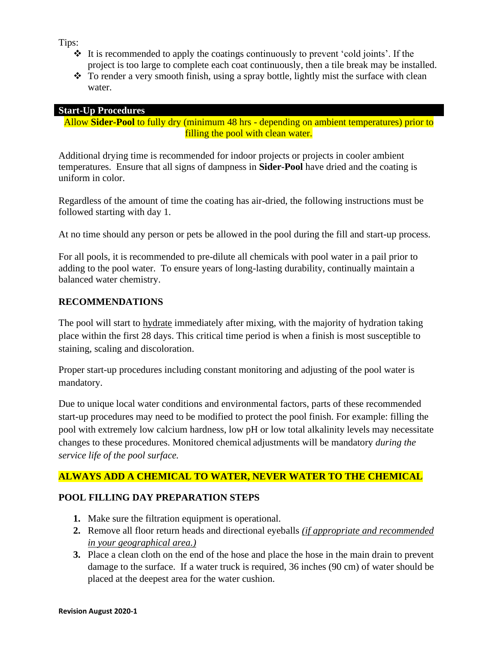Tips:

- ❖ It is recommended to apply the coatings continuously to prevent 'cold joints'. If the project is too large to complete each coat continuously, then a tile break may be installed.
- ❖ To render a very smooth finish, using a spray bottle, lightly mist the surface with clean water.

# **Start-Up Procedures**

Allow **Sider-Pool** to fully dry (minimum 48 hrs - depending on ambient temperatures) prior to filling the pool with clean water.

Additional drying time is recommended for indoor projects or projects in cooler ambient temperatures. Ensure that all signs of dampness in **Sider-Pool** have dried and the coating is uniform in color.

Regardless of the amount of time the coating has air-dried, the following instructions must be followed starting with day 1.

At no time should any person or pets be allowed in the pool during the fill and start-up process.

For all pools, it is recommended to pre-dilute all chemicals with pool water in a pail prior to adding to the pool water. To ensure years of long-lasting durability, continually maintain a balanced water chemistry.

# **RECOMMENDATIONS**

The pool will start to hydrate immediately after mixing, with the majority of hydration taking place within the first 28 days. This critical time period is when a finish is most susceptible to staining, scaling and discoloration.

Proper start-up procedures including constant monitoring and adjusting of the pool water is mandatory.

Due to unique local water conditions and environmental factors, parts of these recommended start-up procedures may need to be modified to protect the pool finish. For example: filling the pool with extremely low calcium hardness, low pH or low total alkalinity levels may necessitate changes to these procedures. Monitored chemical adjustments will be mandatory *during the service life of the pool surface.* 

# **ALWAYS ADD A CHEMICAL TO WATER, NEVER WATER TO THE CHEMICAL**

# **POOL FILLING DAY PREPARATION STEPS**

- **1.** Make sure the filtration equipment is operational.
- **2.** Remove all floor return heads and directional eyeballs *(if appropriate and recommended in your geographical area.)*
- **3.** Place a clean cloth on the end of the hose and place the hose in the main drain to prevent damage to the surface. If a water truck is required, 36 inches (90 cm) of water should be placed at the deepest area for the water cushion.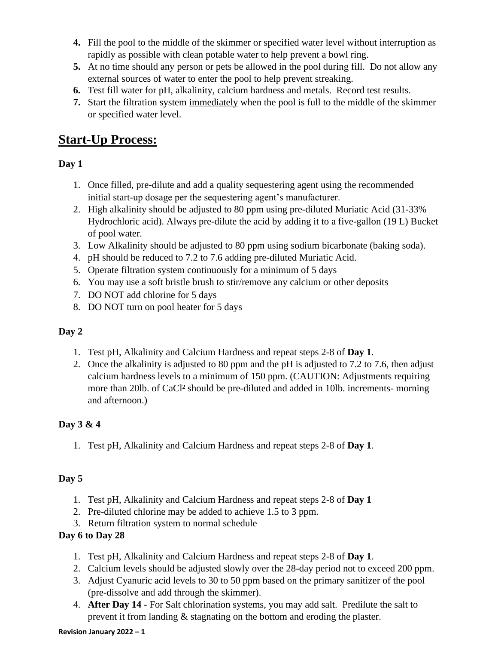- **4.** Fill the pool to the middle of the skimmer or specified water level without interruption as rapidly as possible with clean potable water to help prevent a bowl ring.
- **5.** At no time should any person or pets be allowed in the pool during fill. Do not allow any external sources of water to enter the pool to help prevent streaking.
- **6.** Test fill water for pH, alkalinity, calcium hardness and metals. Record test results.
- **7.** Start the filtration system immediately when the pool is full to the middle of the skimmer or specified water level.

# **Start-Up Process:**

# **Day 1**

- 1. Once filled, pre-dilute and add a quality sequestering agent using the recommended initial start-up dosage per the sequestering agent's manufacturer.
- 2. High alkalinity should be adjusted to 80 ppm using pre-diluted Muriatic Acid (31-33% Hydrochloric acid). Always pre-dilute the acid by adding it to a five-gallon (19 L) Bucket of pool water.
- 3. Low Alkalinity should be adjusted to 80 ppm using sodium bicarbonate (baking soda).
- 4. pH should be reduced to 7.2 to 7.6 adding pre-diluted Muriatic Acid.
- 5. Operate filtration system continuously for a minimum of 5 days
- 6. You may use a soft bristle brush to stir/remove any calcium or other deposits
- 7. DO NOT add chlorine for 5 days
- 8. DO NOT turn on pool heater for 5 days

# **Day 2**

- 1. Test pH, Alkalinity and Calcium Hardness and repeat steps 2-8 of **Day 1**.
- 2. Once the alkalinity is adjusted to 80 ppm and the pH is adjusted to 7.2 to 7.6, then adjust calcium hardness levels to a minimum of 150 ppm. (CAUTION: Adjustments requiring more than 20lb. of CaCl² should be pre-diluted and added in 10lb. increments- morning and afternoon.)

# **Day 3 & 4**

1. Test pH, Alkalinity and Calcium Hardness and repeat steps 2-8 of **Day 1**.

# **Day 5**

- 1. Test pH, Alkalinity and Calcium Hardness and repeat steps 2-8 of **Day 1**
- 2. Pre-diluted chlorine may be added to achieve 1.5 to 3 ppm.
- 3. Return filtration system to normal schedule

# **Day 6 to Day 28**

- 1. Test pH, Alkalinity and Calcium Hardness and repeat steps 2-8 of **Day 1**.
- 2. Calcium levels should be adjusted slowly over the 28-day period not to exceed 200 ppm.
- 3. Adjust Cyanuric acid levels to 30 to 50 ppm based on the primary sanitizer of the pool (pre-dissolve and add through the skimmer).
- 4. **After Day 14** For Salt chlorination systems, you may add salt.Predilute the salt to prevent it from landing & stagnating on the bottom and eroding the plaster.

#### **Revision January 2022 – 1**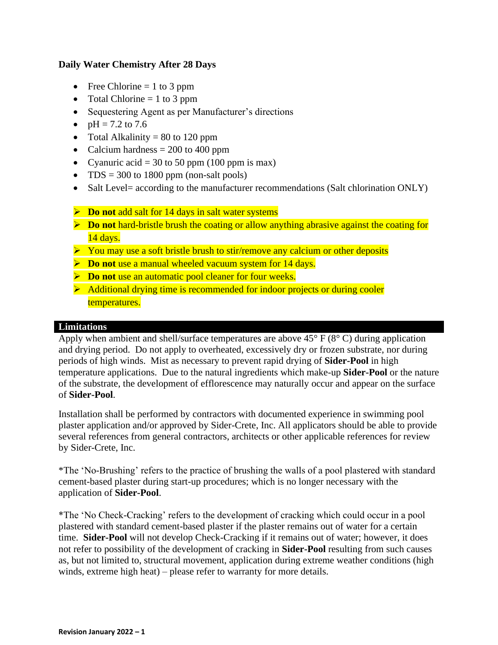# **Daily Water Chemistry After 28 Days**

- Free Chlorine  $= 1$  to 3 ppm
- Total Chlorine  $= 1$  to 3 ppm
- Sequestering Agent as per Manufacturer's directions
- $pH = 7.2$  to 7.6
- Total Alkalinity  $= 80$  to 120 ppm
- Calcium hardness  $= 200$  to 400 ppm
- Cyanuric acid = 30 to 50 ppm (100 ppm is max)
- TDS = 300 to 1800 ppm (non-salt pools)
- Salt Level= according to the manufacturer recommendations (Salt chlorination ONLY)
- ➢ **Do not** add salt for 14 days in salt water systems
- ➢ **Do not** hard-bristle brush the coating or allow anything abrasive against the coating for 14 days.
- ➢ You may use a soft bristle brush to stir/remove any calcium or other deposits
- ➢ **Do not** use a manual wheeled vacuum system for 14 days.
- ➢ **Do not** use an automatic pool cleaner for four weeks.
- ➢ Additional drying time is recommended for indoor projects or during cooler temperatures.

# **Limitations**

Apply when ambient and shell/surface temperatures are above  $45^{\circ}$  F ( $8^{\circ}$  C) during application and drying period. Do not apply to overheated, excessively dry or frozen substrate, nor during periods of high winds. Mist as necessary to prevent rapid drying of **Sider-Pool** in high temperature applications. Due to the natural ingredients which make-up **Sider-Pool** or the nature of the substrate, the development of efflorescence may naturally occur and appear on the surface of **Sider-Pool**.

Installation shall be performed by contractors with documented experience in swimming pool plaster application and/or approved by Sider-Crete, Inc. All applicators should be able to provide several references from general contractors, architects or other applicable references for review by Sider-Crete, Inc.

\*The 'No-Brushing' refers to the practice of brushing the walls of a pool plastered with standard cement-based plaster during start-up procedures; which is no longer necessary with the application of **Sider-Pool**.

\*The 'No Check-Cracking' refers to the development of cracking which could occur in a pool plastered with standard cement-based plaster if the plaster remains out of water for a certain time. **Sider-Pool** will not develop Check-Cracking if it remains out of water; however, it does not refer to possibility of the development of cracking in **Sider-Pool** resulting from such causes as, but not limited to, structural movement, application during extreme weather conditions (high winds, extreme high heat) – please refer to warranty for more details.